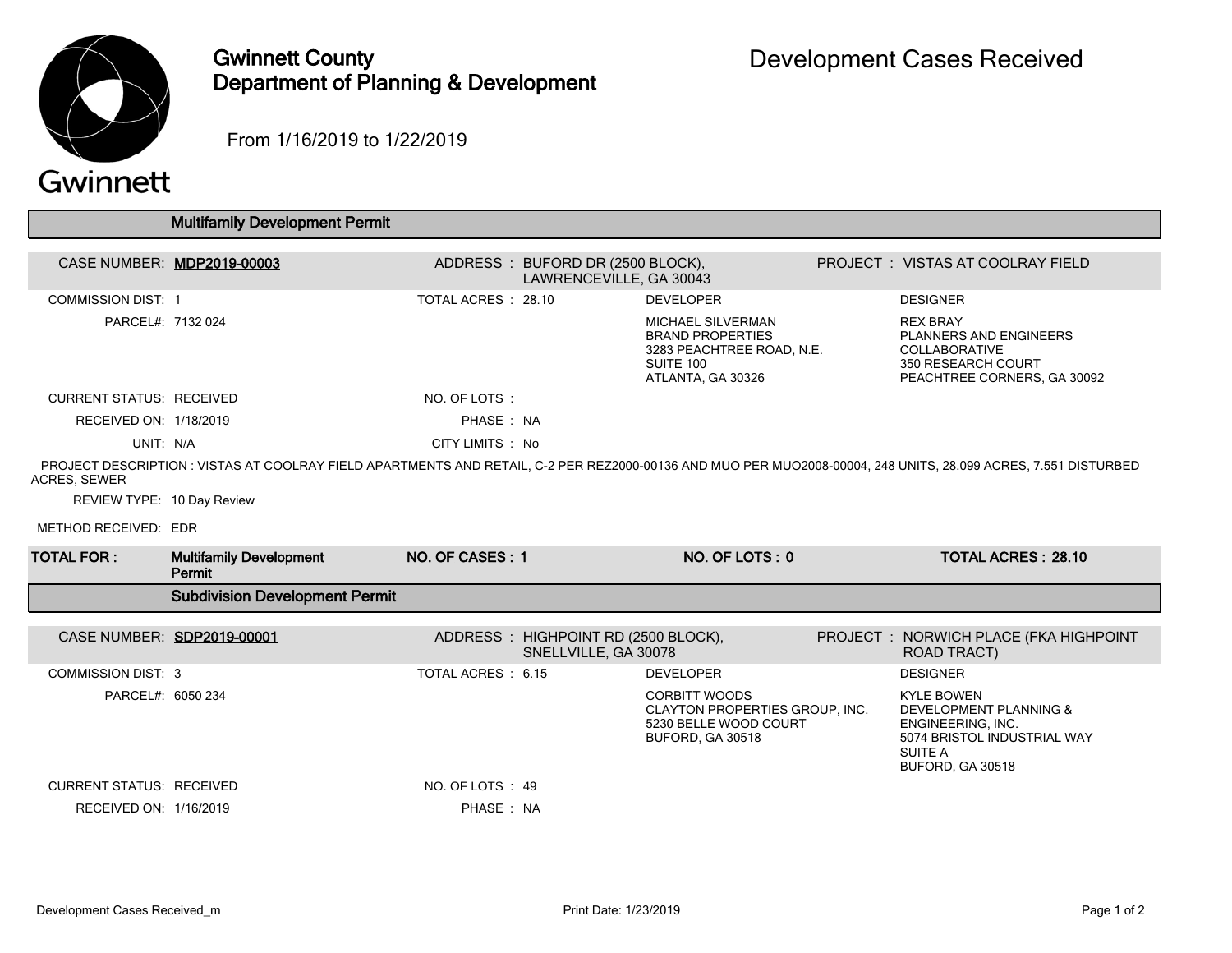

## Gwinnett County Department of Planning & Development

From 1/16/2019 to 1/22/2019

## Gwinnett

|                                 | <b>Multifamily Development Permit</b>    |                     |                                                             |                                                                                                                    |  |                                                                                                                                                                |  |  |  |  |  |
|---------------------------------|------------------------------------------|---------------------|-------------------------------------------------------------|--------------------------------------------------------------------------------------------------------------------|--|----------------------------------------------------------------------------------------------------------------------------------------------------------------|--|--|--|--|--|
|                                 |                                          |                     |                                                             |                                                                                                                    |  |                                                                                                                                                                |  |  |  |  |  |
|                                 | CASE NUMBER: MDP2019-00003               |                     | ADDRESS: BUFORD DR (2500 BLOCK),<br>LAWRENCEVILLE, GA 30043 |                                                                                                                    |  | PROJECT: VISTAS AT COOLRAY FIELD                                                                                                                               |  |  |  |  |  |
| <b>COMMISSION DIST: 1</b>       |                                          | TOTAL ACRES : 28.10 |                                                             | <b>DEVELOPER</b>                                                                                                   |  | <b>DESIGNER</b>                                                                                                                                                |  |  |  |  |  |
| PARCEL#: 7132 024               |                                          |                     |                                                             | <b>MICHAEL SILVERMAN</b><br><b>BRAND PROPERTIES</b><br>3283 PEACHTREE ROAD, N.E.<br>SUITE 100<br>ATLANTA, GA 30326 |  | <b>REX BRAY</b><br><b>PLANNERS AND ENGINEERS</b><br><b>COLLABORATIVE</b><br>350 RESEARCH COURT<br>PEACHTREE CORNERS, GA 30092                                  |  |  |  |  |  |
| <b>CURRENT STATUS: RECEIVED</b> |                                          | NO. OF LOTS:        |                                                             |                                                                                                                    |  |                                                                                                                                                                |  |  |  |  |  |
| RECEIVED ON: 1/18/2019          |                                          | PHASE: NA           |                                                             |                                                                                                                    |  |                                                                                                                                                                |  |  |  |  |  |
| UNIT: N/A                       |                                          | CITY LIMITS: No     |                                                             |                                                                                                                    |  |                                                                                                                                                                |  |  |  |  |  |
| <b>ACRES, SEWER</b>             |                                          |                     |                                                             |                                                                                                                    |  | PROJECT DESCRIPTION : VISTAS AT COOLRAY FIELD APARTMENTS AND RETAIL, C-2 PER REZ2000-00136 AND MUO PER MUO2008-00004, 248 UNITS, 28.099 ACRES, 7.551 DISTURBED |  |  |  |  |  |
| REVIEW TYPE: 10 Day Review      |                                          |                     |                                                             |                                                                                                                    |  |                                                                                                                                                                |  |  |  |  |  |
| METHOD RECEIVED: EDR            |                                          |                     |                                                             |                                                                                                                    |  |                                                                                                                                                                |  |  |  |  |  |
| <b>TOTAL FOR :</b>              | <b>Multifamily Development</b><br>Permit | NO. OF CASES: 1     |                                                             | NO. OF LOTS: 0                                                                                                     |  | <b>TOTAL ACRES: 28.10</b>                                                                                                                                      |  |  |  |  |  |
|                                 | <b>Subdivision Development Permit</b>    |                     |                                                             |                                                                                                                    |  |                                                                                                                                                                |  |  |  |  |  |
| CASE NUMBER: SDP2019-00001      |                                          |                     | ADDRESS: HIGHPOINT RD (2500 BLOCK),<br>SNELLVILLE, GA 30078 |                                                                                                                    |  | PROJECT : NORWICH PLACE (FKA HIGHPOINT<br><b>ROAD TRACT)</b>                                                                                                   |  |  |  |  |  |
| <b>COMMISSION DIST: 3</b>       |                                          | TOTAL ACRES: 6.15   |                                                             | <b>DEVELOPER</b>                                                                                                   |  | <b>DESIGNER</b>                                                                                                                                                |  |  |  |  |  |
| PARCEL#: 6050 234               |                                          |                     |                                                             | <b>CORBITT WOODS</b><br>CLAYTON PROPERTIES GROUP, INC.<br>5230 BELLE WOOD COURT<br>BUFORD, GA 30518                |  | <b>KYLE BOWEN</b><br><b>DEVELOPMENT PLANNING &amp;</b><br>ENGINEERING, INC.<br>5074 BRISTOL INDUSTRIAL WAY<br>SUITE A<br>BUFORD, GA 30518                      |  |  |  |  |  |
| <b>CURRENT STATUS: RECEIVED</b> |                                          | NO. OF LOTS: 49     |                                                             |                                                                                                                    |  |                                                                                                                                                                |  |  |  |  |  |
| RECEIVED ON: 1/16/2019          |                                          | PHASE: NA           |                                                             |                                                                                                                    |  |                                                                                                                                                                |  |  |  |  |  |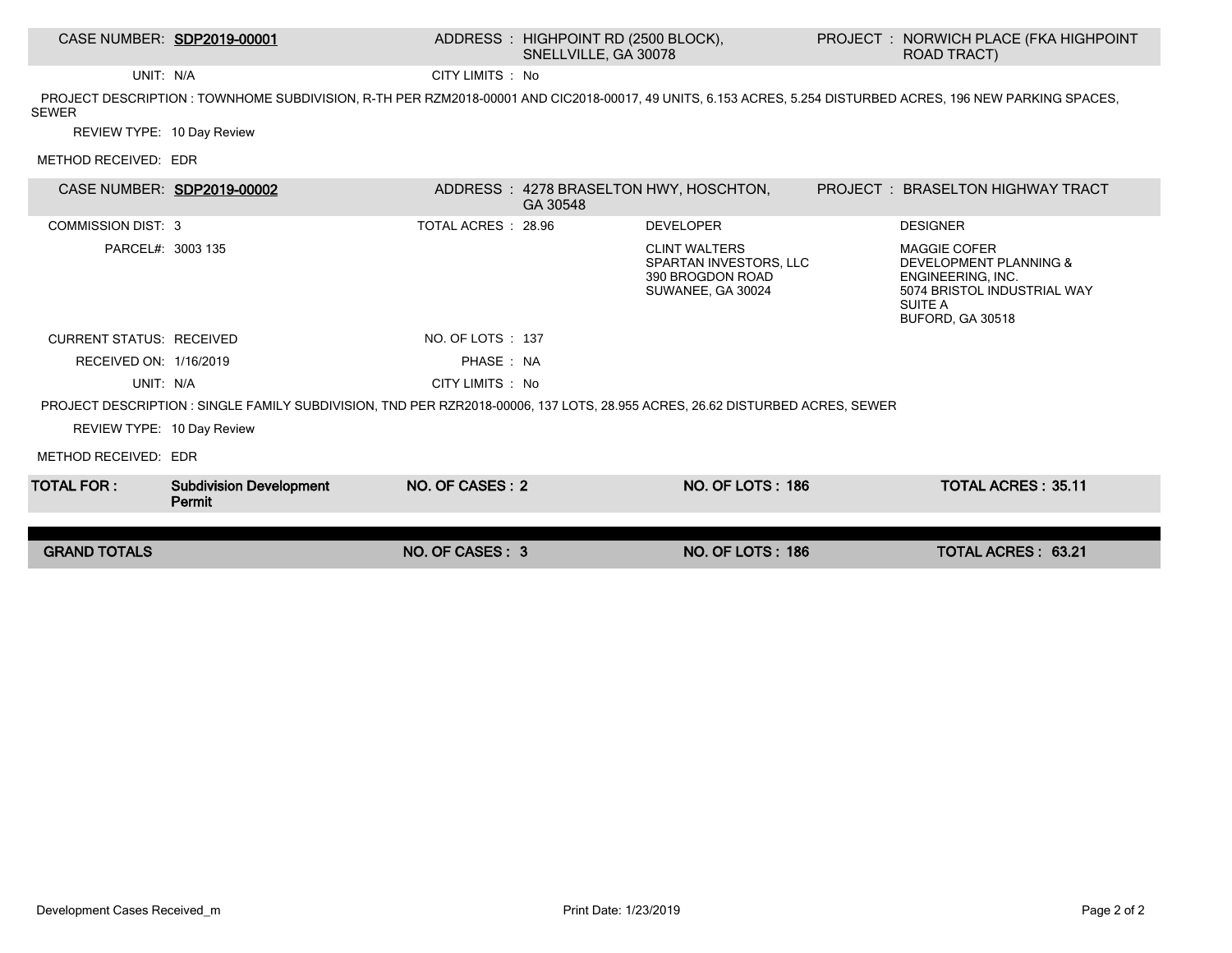## CASE NUMBER: SDP2019-00001 ADDRESS : HIGHPOINT RD (2500 BLOCK), SNELLVILLE, GA 30078

UNIT: N/A CITY LIMITS : No

 PROJECT DESCRIPTION : TOWNHOME SUBDIVISION, R-TH PER RZM2018-00001 AND CIC2018-00017, 49 UNITS, 6.153 ACRES, 5.254 DISTURBED ACRES, 196 NEW PARKING SPACES, SEWER

REVIEW TYPE: 10 Day Review

METHOD RECEIVED: EDR

| CASE NUMBER: SDP2019-00002                                                                                                   |                                          |                     | GA 30548 | ADDRESS : 4278 BRASELTON HWY, HOSCHTON,                                                 |  | <b>PROJECT : BRASELTON HIGHWAY TRACT</b>                                                                                         |  |  |  |  |
|------------------------------------------------------------------------------------------------------------------------------|------------------------------------------|---------------------|----------|-----------------------------------------------------------------------------------------|--|----------------------------------------------------------------------------------------------------------------------------------|--|--|--|--|
| <b>COMMISSION DIST: 3</b>                                                                                                    |                                          | TOTAL ACRES : 28.96 |          | <b>DEVELOPER</b>                                                                        |  | <b>DESIGNER</b>                                                                                                                  |  |  |  |  |
| PARCEL#: 3003 135                                                                                                            |                                          |                     |          | <b>CLINT WALTERS</b><br>SPARTAN INVESTORS, LLC<br>390 BROGDON ROAD<br>SUWANEE, GA 30024 |  | <b>MAGGIE COFER</b><br>DEVELOPMENT PLANNING &<br>ENGINEERING, INC.<br>5074 BRISTOL INDUSTRIAL WAY<br>SUITE A<br>BUFORD, GA 30518 |  |  |  |  |
| <b>CURRENT STATUS: RECEIVED</b>                                                                                              |                                          | NO. OF LOTS : 137   |          |                                                                                         |  |                                                                                                                                  |  |  |  |  |
| RECEIVED ON: 1/16/2019                                                                                                       |                                          | PHASE: NA           |          |                                                                                         |  |                                                                                                                                  |  |  |  |  |
| UNIT: N/A                                                                                                                    |                                          | CITY LIMITS : No    |          |                                                                                         |  |                                                                                                                                  |  |  |  |  |
| PROJECT DESCRIPTION : SINGLE FAMILY SUBDIVISION, TND PER RZR2018-00006, 137 LOTS, 28.955 ACRES, 26.62 DISTURBED ACRES, SEWER |                                          |                     |          |                                                                                         |  |                                                                                                                                  |  |  |  |  |
| REVIEW TYPE: 10 Day Review                                                                                                   |                                          |                     |          |                                                                                         |  |                                                                                                                                  |  |  |  |  |
| METHOD RECEIVED: EDR                                                                                                         |                                          |                     |          |                                                                                         |  |                                                                                                                                  |  |  |  |  |
| TOTAL FOR : I                                                                                                                | <b>Subdivision Development</b><br>Permit | NO. OF CASES: 2     |          | <b>NO. OF LOTS: 186</b>                                                                 |  | <b>TOTAL ACRES: 35.11</b>                                                                                                        |  |  |  |  |
|                                                                                                                              |                                          |                     |          |                                                                                         |  |                                                                                                                                  |  |  |  |  |
| <b>GRAND TOTALS</b>                                                                                                          |                                          | NO. OF CASES: 3     |          | <b>NO. OF LOTS: 186</b>                                                                 |  | <b>TOTAL ACRES: 63.21</b>                                                                                                        |  |  |  |  |